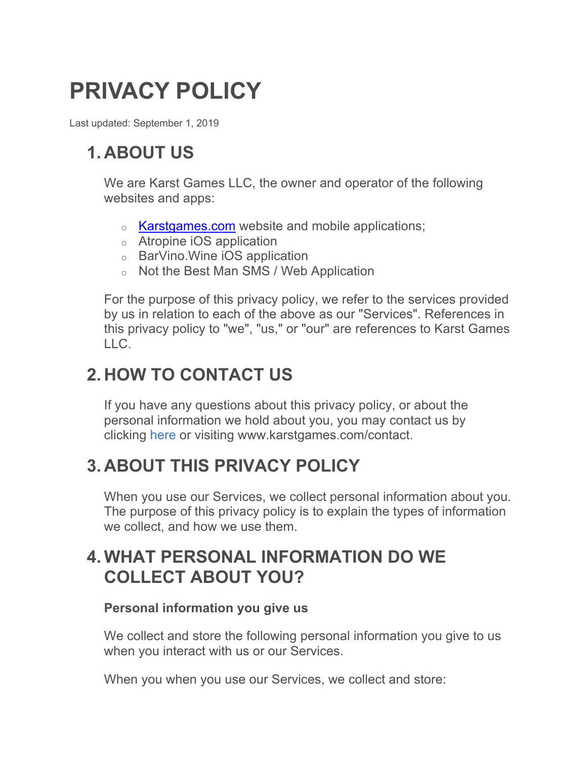# **PRIVACY POLICY**

Last updated: September 1, 2019

# **1. ABOUT US**

We are Karst Games LLC, the owner and operator of the following websites and apps:

- o **Karstgames.com** website and mobile applications;
- o Atropine iOS application
- o BarVino.Wine iOS application
- o Not the Best Man SMS / Web Application

For the purpose of this privacy policy, we refer to the services provided by us in relation to each of the above as our "Services". References in this privacy policy to "we", "us," or "our" are references to Karst Games LLC.

# **2. HOW TO CONTACT US**

If you have any questions about this privacy policy, or about the personal information we hold about you, you may contact us by clicking here or visiting www.karstgames.com/contact.

# **3. ABOUT THIS PRIVACY POLICY**

When you use our Services, we collect personal information about you. The purpose of this privacy policy is to explain the types of information we collect, and how we use them.

# **4. WHAT PERSONAL INFORMATION DO WE COLLECT ABOUT YOU?**

#### **Personal information you give us**

We collect and store the following personal information you give to us when you interact with us or our Services.

When you when you use our Services, we collect and store: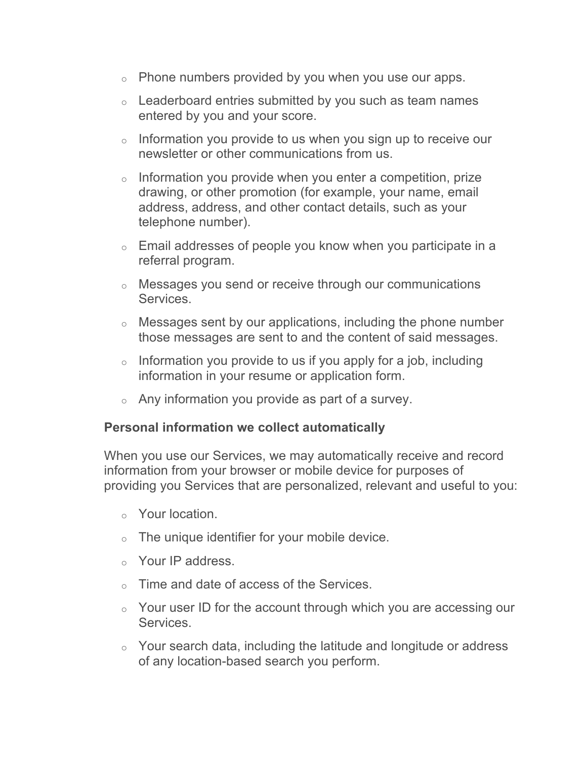- $\circ$  Phone numbers provided by you when you use our apps.
- o Leaderboard entries submitted by you such as team names entered by you and your score.
- $\circ$  Information you provide to us when you sign up to receive our newsletter or other communications from us.
- $\circ$  Information you provide when you enter a competition, prize drawing, or other promotion (for example, your name, email address, address, and other contact details, such as your telephone number).
- $\circ$  Email addresses of people you know when you participate in a referral program.
- o Messages you send or receive through our communications **Services**
- o Messages sent by our applications, including the phone number those messages are sent to and the content of said messages.
- $\circ$  Information you provide to us if you apply for a job, including information in your resume or application form.
- $\circ$  Any information you provide as part of a survey.

#### **Personal information we collect automatically**

When you use our Services, we may automatically receive and record information from your browser or mobile device for purposes of providing you Services that are personalized, relevant and useful to you:

- o Your location.
- $\circ$  The unique identifier for your mobile device.
- o Your IP address.
- o Time and date of access of the Services.
- o Your user ID for the account through which you are accessing our Services.
- o Your search data, including the latitude and longitude or address of any location-based search you perform.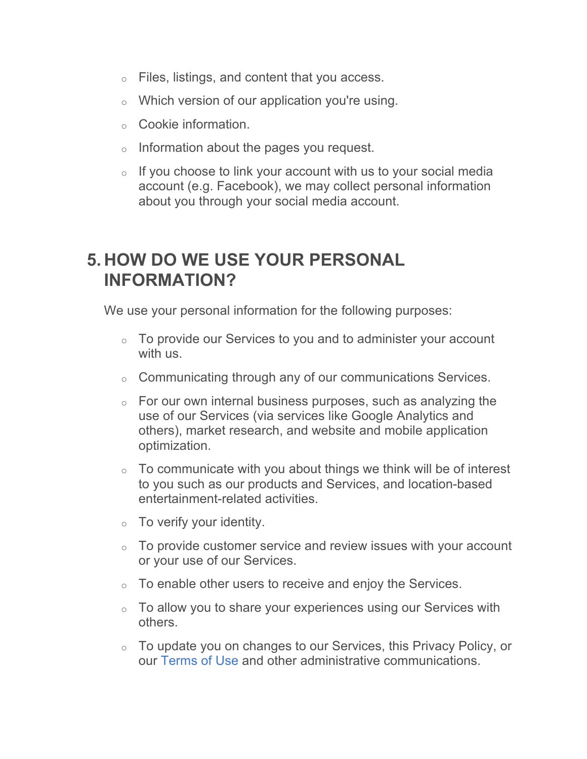- o Files, listings, and content that you access.
- o Which version of our application you're using.
- o Cookie information.
- o Information about the pages you request.
- $\circ$  If you choose to link your account with us to your social media account (e.g. Facebook), we may collect personal information about you through your social media account.

### **5. HOW DO WE USE YOUR PERSONAL INFORMATION?**

We use your personal information for the following purposes:

- $\circ$  To provide our Services to you and to administer your account with us.
- o Communicating through any of our communications Services.
- $\circ$  For our own internal business purposes, such as analyzing the use of our Services (via services like Google Analytics and others), market research, and website and mobile application optimization.
- $\circ$  To communicate with you about things we think will be of interest to you such as our products and Services, and location-based entertainment-related activities.
- $\circ$  To verify your identity.
- $\circ$  To provide customer service and review issues with your account or your use of our Services.
- $\circ$  To enable other users to receive and enjoy the Services.
- o To allow you to share your experiences using our Services with others.
- o To update you on changes to our Services, this Privacy Policy, or our Terms of Use and other administrative communications.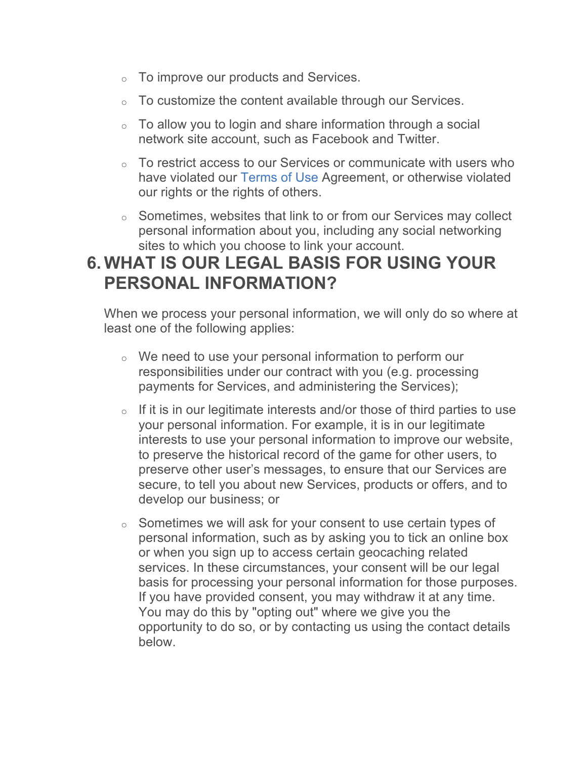- o To improve our products and Services.
- o To customize the content available through our Services.
- $\circ$  To allow you to login and share information through a social network site account, such as Facebook and Twitter.
- o To restrict access to our Services or communicate with users who have violated our Terms of Use Agreement, or otherwise violated our rights or the rights of others.
- o Sometimes, websites that link to or from our Services may collect personal information about you, including any social networking sites to which you choose to link your account.

# **6. WHAT IS OUR LEGAL BASIS FOR USING YOUR PERSONAL INFORMATION?**

When we process your personal information, we will only do so where at least one of the following applies:

- o We need to use your personal information to perform our responsibilities under our contract with you (e.g. processing payments for Services, and administering the Services);
- $\circ$  If it is in our legitimate interests and/or those of third parties to use your personal information. For example, it is in our legitimate interests to use your personal information to improve our website, to preserve the historical record of the game for other users, to preserve other user's messages, to ensure that our Services are secure, to tell you about new Services, products or offers, and to develop our business; or
- o Sometimes we will ask for your consent to use certain types of personal information, such as by asking you to tick an online box or when you sign up to access certain geocaching related services. In these circumstances, your consent will be our legal basis for processing your personal information for those purposes. If you have provided consent, you may withdraw it at any time. You may do this by "opting out" where we give you the opportunity to do so, or by contacting us using the contact details below.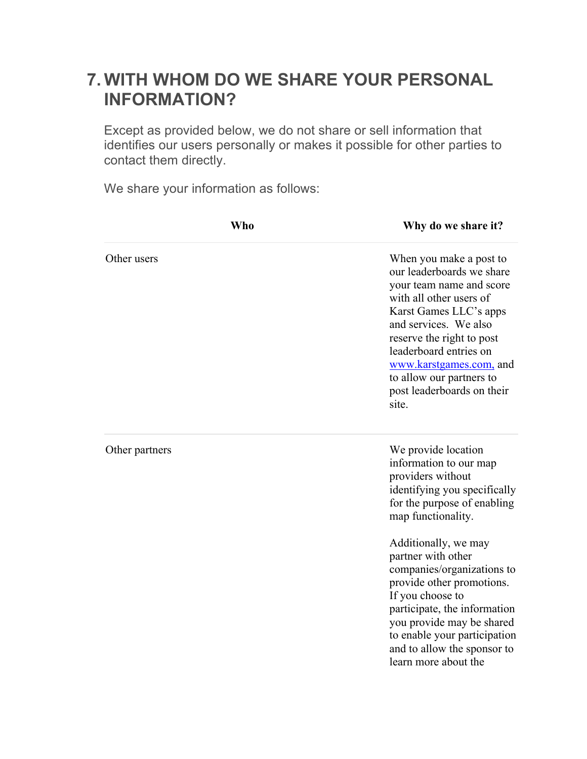### **7. WITH WHOM DO WE SHARE YOUR PERSONAL INFORMATION?**

Except as provided below, we do not share or sell information that identifies our users personally or makes it possible for other parties to contact them directly.

We share your information as follows:

| <b>Who</b>     | Why do we share it?                                                                                                                                                                                                                                                                                                 |
|----------------|---------------------------------------------------------------------------------------------------------------------------------------------------------------------------------------------------------------------------------------------------------------------------------------------------------------------|
| Other users    | When you make a post to<br>our leaderboards we share<br>your team name and score<br>with all other users of<br>Karst Games LLC's apps<br>and services. We also<br>reserve the right to post<br>leaderboard entries on<br>www.karstgames.com, and<br>to allow our partners to<br>post leaderboards on their<br>site. |
| Other partners | We provide location<br>information to our map<br>providers without<br>identifying you specifically<br>for the purpose of enabling<br>map functionality.                                                                                                                                                             |
|                | Additionally, we may<br>partner with other<br>companies/organizations to<br>provide other promotions.<br>If you choose to<br>participate, the information<br>you provide may be shared<br>to enable your participation<br>and to allow the sponsor to<br>learn more about the                                       |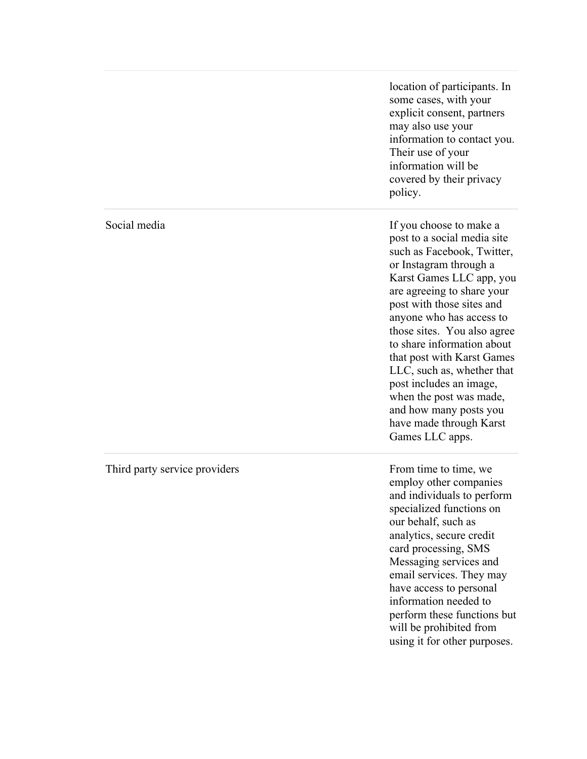|                               | location of participants. In<br>some cases, with your<br>explicit consent, partners<br>may also use your<br>information to contact you.<br>Their use of your<br>information will be<br>covered by their privacy<br>policy.                                                                                                                                                                                                                                                               |
|-------------------------------|------------------------------------------------------------------------------------------------------------------------------------------------------------------------------------------------------------------------------------------------------------------------------------------------------------------------------------------------------------------------------------------------------------------------------------------------------------------------------------------|
| Social media                  | If you choose to make a<br>post to a social media site<br>such as Facebook, Twitter,<br>or Instagram through a<br>Karst Games LLC app, you<br>are agreeing to share your<br>post with those sites and<br>anyone who has access to<br>those sites. You also agree<br>to share information about<br>that post with Karst Games<br>LLC, such as, whether that<br>post includes an image,<br>when the post was made,<br>and how many posts you<br>have made through Karst<br>Games LLC apps. |
| Third party service providers | From time to time, we<br>employ other companies<br>and individuals to perform<br>specialized functions on<br>our behalf, such as<br>analytics, secure credit<br>card processing, SMS<br>Messaging services and<br>email services. They may<br>have access to personal<br>information needed to<br>perform these functions but<br>will be prohibited from<br>using it for other purposes.                                                                                                 |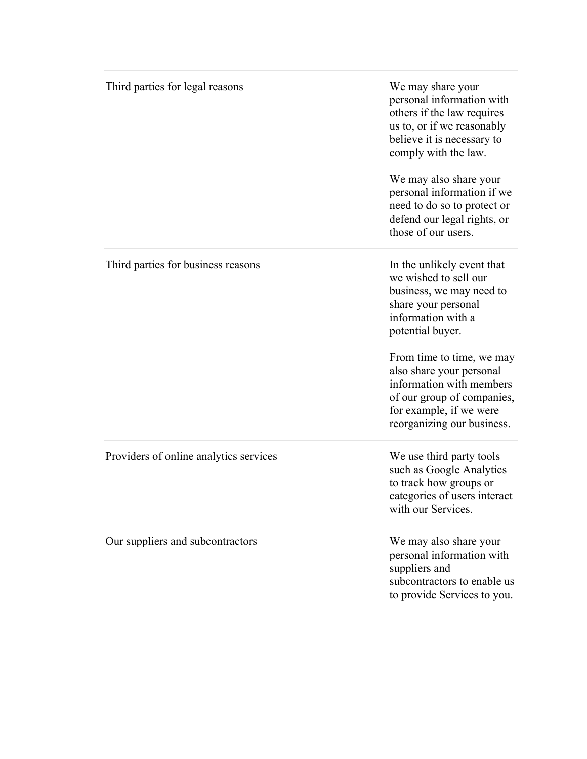| Third parties for legal reasons        | We may share your<br>personal information with<br>others if the law requires<br>us to, or if we reasonably<br>believe it is necessary to<br>comply with the law.<br>We may also share your<br>personal information if we<br>need to do so to protect or<br>defend our legal rights, or<br>those of our users.                |
|----------------------------------------|------------------------------------------------------------------------------------------------------------------------------------------------------------------------------------------------------------------------------------------------------------------------------------------------------------------------------|
| Third parties for business reasons     | In the unlikely event that<br>we wished to sell our<br>business, we may need to<br>share your personal<br>information with a<br>potential buyer.<br>From time to time, we may<br>also share your personal<br>information with members<br>of our group of companies,<br>for example, if we were<br>reorganizing our business. |
| Providers of online analytics services | We use third party tools<br>such as Google Analytics<br>to track how groups or<br>categories of users interact<br>with our Services.                                                                                                                                                                                         |
| Our suppliers and subcontractors       | We may also share your<br>personal information with<br>suppliers and<br>subcontractors to enable us<br>to provide Services to you.                                                                                                                                                                                           |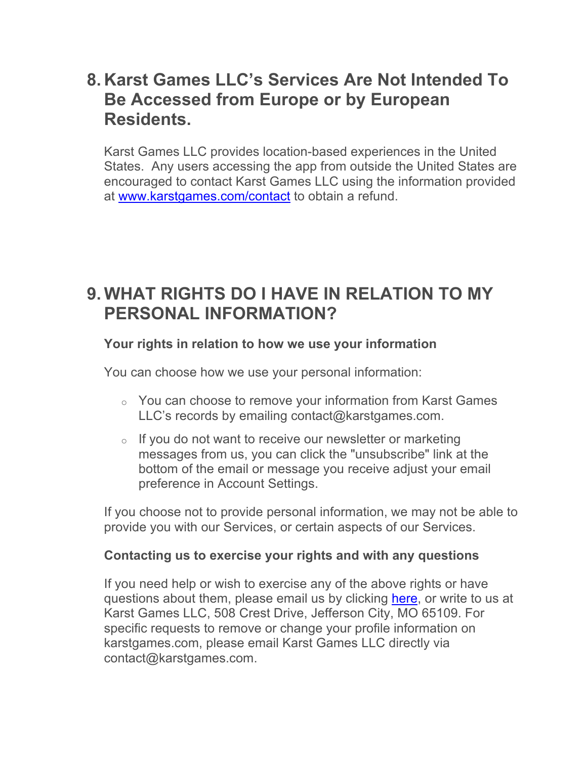### **8. Karst Games LLC's Services Are Not Intended To Be Accessed from Europe or by European Residents.**

Karst Games LLC provides location-based experiences in the United States. Any users accessing the app from outside the United States are encouraged to contact Karst Games LLC using the information provided at www.karstgames.com/contact to obtain a refund.

### **9. WHAT RIGHTS DO I HAVE IN RELATION TO MY PERSONAL INFORMATION?**

#### **Your rights in relation to how we use your information**

You can choose how we use your personal information:

- o You can choose to remove your information from Karst Games LLC's records by emailing contact@karstgames.com.
- o If you do not want to receive our newsletter or marketing messages from us, you can click the "unsubscribe" link at the bottom of the email or message you receive adjust your email preference in Account Settings.

If you choose not to provide personal information, we may not be able to provide you with our Services, or certain aspects of our Services.

#### **Contacting us to exercise your rights and with any questions**

If you need help or wish to exercise any of the above rights or have questions about them, please email us by clicking here, or write to us at Karst Games LLC, 508 Crest Drive, Jefferson City, MO 65109. For specific requests to remove or change your profile information on karstgames.com, please email Karst Games LLC directly via contact@karstgames.com.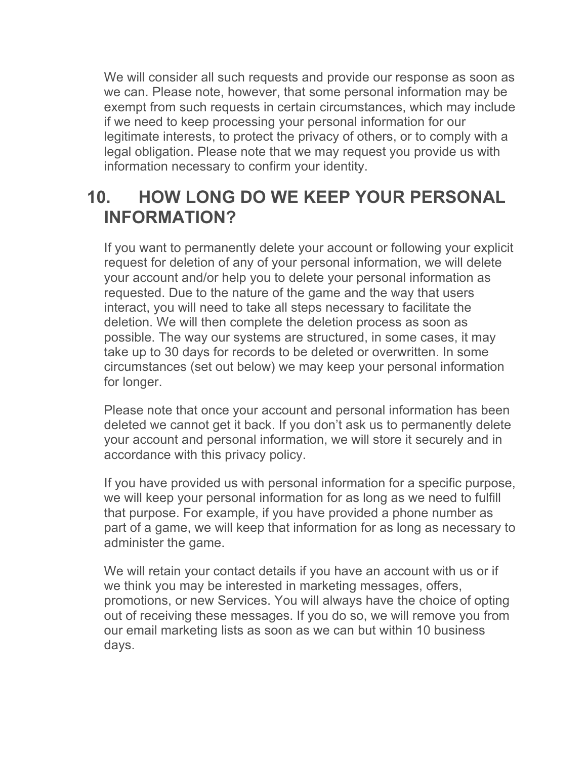We will consider all such requests and provide our response as soon as we can. Please note, however, that some personal information may be exempt from such requests in certain circumstances, which may include if we need to keep processing your personal information for our legitimate interests, to protect the privacy of others, or to comply with a legal obligation. Please note that we may request you provide us with information necessary to confirm your identity.

### **10. HOW LONG DO WE KEEP YOUR PERSONAL INFORMATION?**

If you want to permanently delete your account or following your explicit request for deletion of any of your personal information, we will delete your account and/or help you to delete your personal information as requested. Due to the nature of the game and the way that users interact, you will need to take all steps necessary to facilitate the deletion. We will then complete the deletion process as soon as possible. The way our systems are structured, in some cases, it may take up to 30 days for records to be deleted or overwritten. In some circumstances (set out below) we may keep your personal information for longer.

Please note that once your account and personal information has been deleted we cannot get it back. If you don't ask us to permanently delete your account and personal information, we will store it securely and in accordance with this privacy policy.

If you have provided us with personal information for a specific purpose, we will keep your personal information for as long as we need to fulfill that purpose. For example, if you have provided a phone number as part of a game, we will keep that information for as long as necessary to administer the game.

We will retain your contact details if you have an account with us or if we think you may be interested in marketing messages, offers, promotions, or new Services. You will always have the choice of opting out of receiving these messages. If you do so, we will remove you from our email marketing lists as soon as we can but within 10 business days.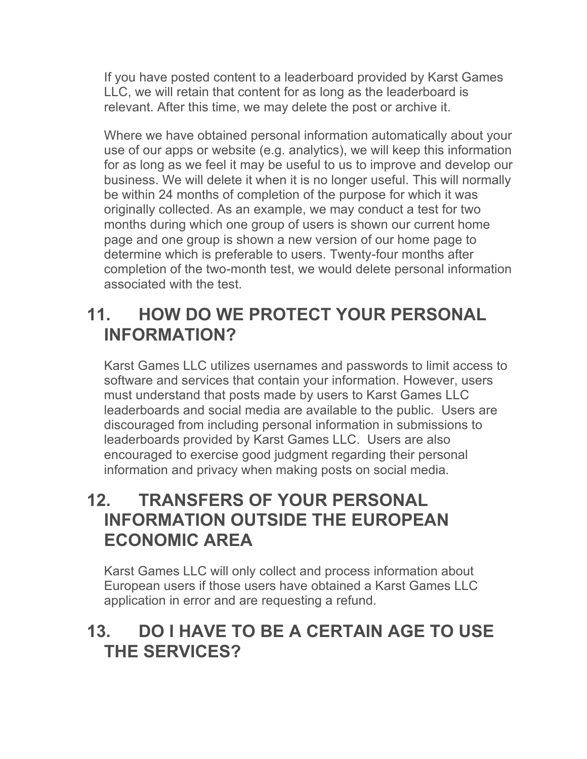If you have posted content to a leaderboard provided by Karst Games LLC, we will retain that content for as long as the leaderboard is relevant. After this time, we may delete the post or archive it.

Where we have obtained personal information automatically about your use of our apps or website (e.g. analytics), we will keep this information for as long as we feel it may be useful to us to improve and develop our business. We will delete it when it is no longer useful. This will normally be within 24 months of completion of the purpose for which it was originally collected. As an example, we may conduct a test for two months during which one group of users is shown our current home page and one group is shown a new version of our home page to determine which is preferable to users. Twenty-four months after completion of the two-month test, we would delete personal information associated with the test.

# **11. HOW DO WE PROTECT YOUR PERSONAL INFORMATION?**

Karst Games LLC utilizes usernames and passwords to limit access to software and services that contain your information. However, users must understand that posts made by users to Karst Games LLC leaderboards and social media are available to the public. Users are discouraged from including personal information in submissions to leaderboards provided by Karst Games LLC. Users are also encouraged to exercise good judgment regarding their personal information and privacy when making posts on social media.

# **12. TRANSFERS OF YOUR PERSONAL INFORMATION OUTSIDE THE EUROPEAN ECONOMIC AREA**

Karst Games LLC will only collect and process information about European users if those users have obtained a Karst Games LLC application in error and are requesting a refund.

# **13. DO I HAVE TO BE A CERTAIN AGE TO USE THE SERVICES?**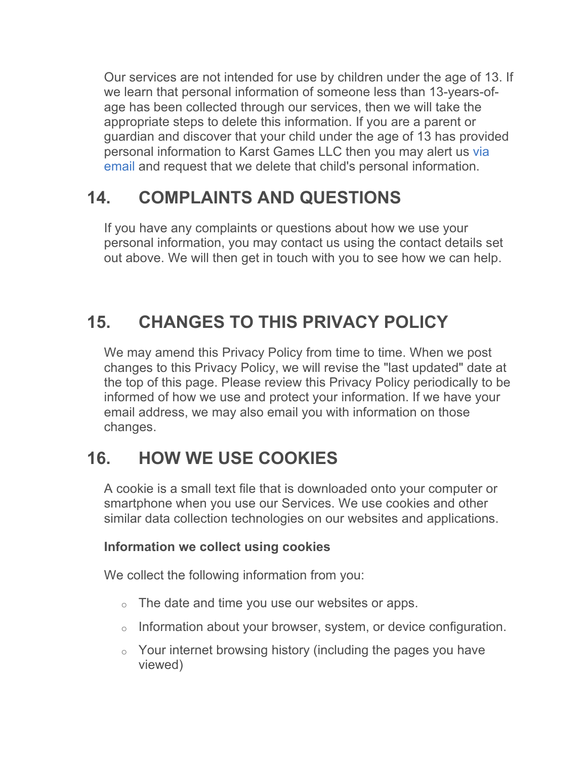Our services are not intended for use by children under the age of 13. If we learn that personal information of someone less than 13-years-ofage has been collected through our services, then we will take the appropriate steps to delete this information. If you are a parent or guardian and discover that your child under the age of 13 has provided personal information to Karst Games LLC then you may alert us via email and request that we delete that child's personal information.

# **14. COMPLAINTS AND QUESTIONS**

If you have any complaints or questions about how we use your personal information, you may contact us using the contact details set out above. We will then get in touch with you to see how we can help.

# **15. CHANGES TO THIS PRIVACY POLICY**

We may amend this Privacy Policy from time to time. When we post changes to this Privacy Policy, we will revise the "last updated" date at the top of this page. Please review this Privacy Policy periodically to be informed of how we use and protect your information. If we have your email address, we may also email you with information on those changes.

# **16. HOW WE USE COOKIES**

A cookie is a small text file that is downloaded onto your computer or smartphone when you use our Services. We use cookies and other similar data collection technologies on our websites and applications.

### **Information we collect using cookies**

We collect the following information from you:

- $\circ$  The date and time you use our websites or apps.
- $\circ$  Information about your browser, system, or device configuration.
- o Your internet browsing history (including the pages you have viewed)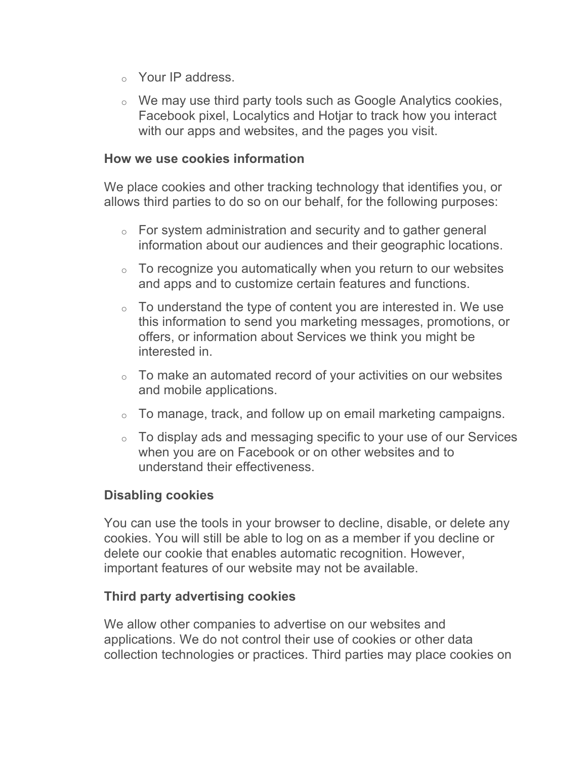- o Your IP address.
- o We may use third party tools such as Google Analytics cookies, Facebook pixel, Localytics and Hotjar to track how you interact with our apps and websites, and the pages you visit.

#### **How we use cookies information**

We place cookies and other tracking technology that identifies you, or allows third parties to do so on our behalf, for the following purposes:

- o For system administration and security and to gather general information about our audiences and their geographic locations.
- $\circ$  To recognize you automatically when you return to our websites and apps and to customize certain features and functions.
- $\circ$  To understand the type of content you are interested in. We use this information to send you marketing messages, promotions, or offers, or information about Services we think you might be interested in.
- $\circ$  To make an automated record of your activities on our websites and mobile applications.
- $\circ$  To manage, track, and follow up on email marketing campaigns.
- $\circ$  To display ads and messaging specific to your use of our Services when you are on Facebook or on other websites and to understand their effectiveness.

#### **Disabling cookies**

You can use the tools in your browser to decline, disable, or delete any cookies. You will still be able to log on as a member if you decline or delete our cookie that enables automatic recognition. However, important features of our website may not be available.

#### **Third party advertising cookies**

We allow other companies to advertise on our websites and applications. We do not control their use of cookies or other data collection technologies or practices. Third parties may place cookies on